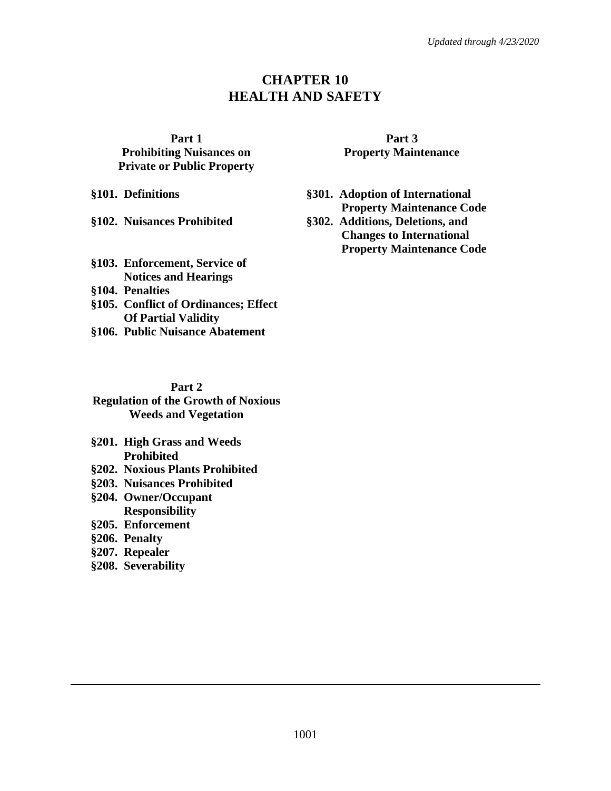# **CHAPTER 10 HEALTH AND SAFETY**

#### **Part 1**

**Prohibiting Nuisances on Private or Public Property**

**§102. Nuisances Prohibited §302. Additions, Deletions, and** 

- **§103. Enforcement, Service of Notices and Hearings §104. Penalties**
- **§105. Conflict of Ordinances; Effect Of Partial Validity**
- **§106. Public Nuisance Abatement**

## **Part 2**

#### **Regulation of the Growth of Noxious Weeds and Vegetation**

- **§201. High Grass and Weeds Prohibited**
- **§202. Noxious Plants Prohibited**
- **§203. Nuisances Prohibited**
- **§204. Owner/Occupant Responsibility**
- **§205. Enforcement**
- **§206. Penalty**
- **§207. Repealer**
- **§208. Severability**

## **Part 3 Property Maintenance**

**§101. Definitions §301. Adoption of International Property Maintenance Code**

**Changes to International Property Maintenance Code**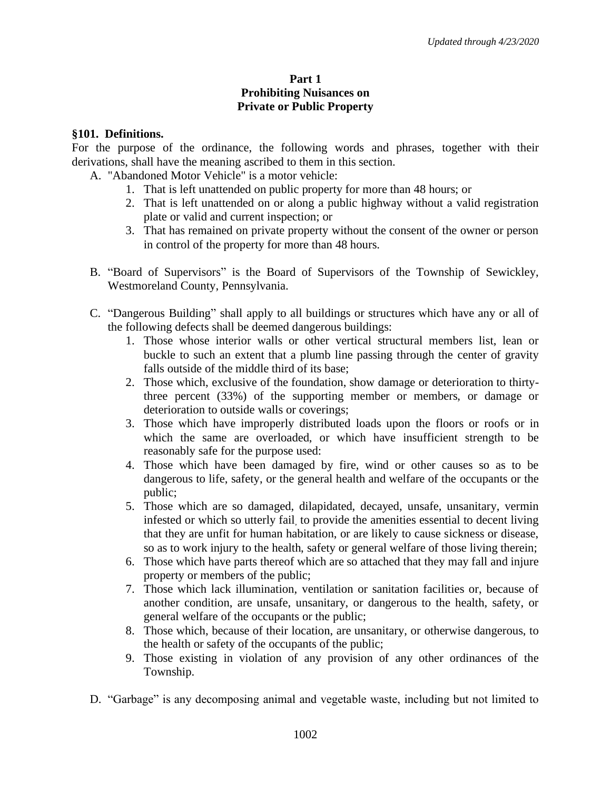## **Part 1 Prohibiting Nuisances on Private or Public Property**

### **§101. Definitions.**

For the purpose of the ordinance, the following words and phrases, together with their derivations, shall have the meaning ascribed to them in this section.

- A. "Abandoned Motor Vehicle" is a motor vehicle:
	- 1. That is left unattended on public property for more than 48 hours; or
	- 2. That is left unattended on or along a public highway without a valid registration plate or valid and current inspection; or
	- 3. That has remained on private property without the consent of the owner or person in control of the property for more than 48 hours.
- B. "Board of Supervisors" is the Board of Supervisors of the Township of Sewickley, Westmoreland County, Pennsylvania.
- C. "Dangerous Building" shall apply to all buildings or structures which have any or all of the following defects shall be deemed dangerous buildings:
	- 1. Those whose interior walls or other vertical structural members list, lean or buckle to such an extent that a plumb line passing through the center of gravity falls outside of the middle third of its base;
	- 2. Those which, exclusive of the foundation, show damage or deterioration to thirtythree percent (33%) of the supporting member or members, or damage or deterioration to outside walls or coverings;
	- 3. Those which have improperly distributed loads upon the floors or roofs or in which the same are overloaded, or which have insufficient strength to be reasonably safe for the purpose used:
	- 4. Those which have been damaged by fire, wind or other causes so as to be dangerous to life, safety, or the general health and welfare of the occupants or the public;
	- 5. Those which are so damaged, dilapidated, decayed, unsafe, unsanitary, vermin infested or which so utterly fail, to provide the amenities essential to decent living that they are unfit for human habitation, or are likely to cause sickness or disease, so as to work injury to the health, safety or general welfare of those living therein;
	- 6. Those which have parts thereof which are so attached that they may fall and injure property or members of the public;
	- 7. Those which lack illumination, ventilation or sanitation facilities or, because of another condition, are unsafe, unsanitary, or dangerous to the health, safety, or general welfare of the occupants or the public;
	- 8. Those which, because of their location, are unsanitary, or otherwise dangerous, to the health or safety of the occupants of the public;
	- 9. Those existing in violation of any provision of any other ordinances of the Township.
- D. "Garbage" is any decomposing animal and vegetable waste, including but not limited to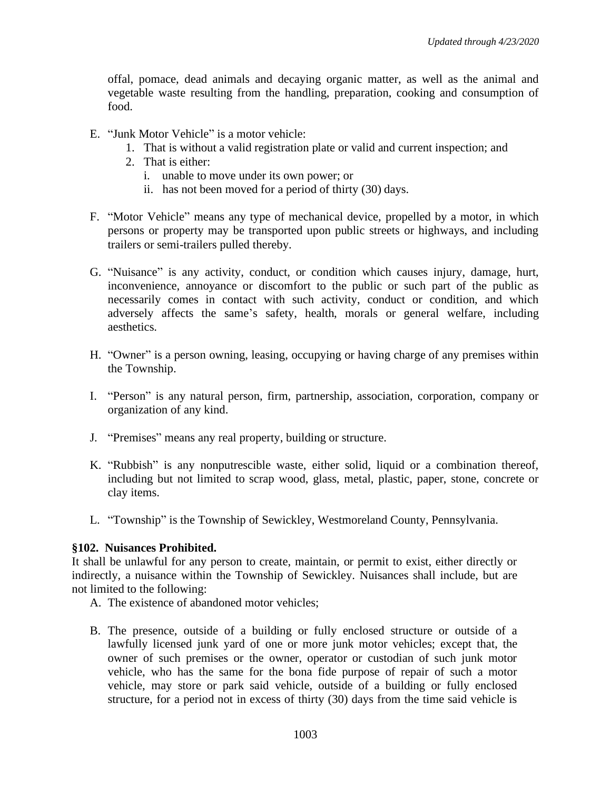offal, pomace, dead animals and decaying organic matter, as well as the animal and vegetable waste resulting from the handling, preparation, cooking and consumption of food.

- E. "Junk Motor Vehicle" is a motor vehicle:
	- 1. That is without a valid registration plate or valid and current inspection; and
	- 2. That is either:
		- i. unable to move under its own power; or
		- ii. has not been moved for a period of thirty (30) days.
- F. "Motor Vehicle" means any type of mechanical device, propelled by a motor, in which persons or property may be transported upon public streets or highways, and including trailers or semi-trailers pulled thereby.
- G. "Nuisance" is any activity, conduct, or condition which causes injury, damage, hurt, inconvenience, annoyance or discomfort to the public or such part of the public as necessarily comes in contact with such activity, conduct or condition, and which adversely affects the same's safety, health, morals or general welfare, including aesthetics.
- H. "Owner" is a person owning, leasing, occupying or having charge of any premises within the Township.
- I. "Person" is any natural person, firm, partnership, association, corporation, company or organization of any kind.
- J. "Premises" means any real property, building or structure.
- K. "Rubbish" is any nonputrescible waste, either solid, liquid or a combination thereof, including but not limited to scrap wood, glass, metal, plastic, paper, stone, concrete or clay items.
- L. "Township" is the Township of Sewickley, Westmoreland County, Pennsylvania.

### **§102. Nuisances Prohibited.**

It shall be unlawful for any person to create, maintain, or permit to exist, either directly or indirectly, a nuisance within the Township of Sewickley. Nuisances shall include, but are not limited to the following:

- A. The existence of abandoned motor vehicles;
- B. The presence, outside of a building or fully enclosed structure or outside of a lawfully licensed junk yard of one or more junk motor vehicles; except that, the owner of such premises or the owner, operator or custodian of such junk motor vehicle, who has the same for the bona fide purpose of repair of such a motor vehicle, may store or park said vehicle, outside of a building or fully enclosed structure, for a period not in excess of thirty (30) days from the time said vehicle is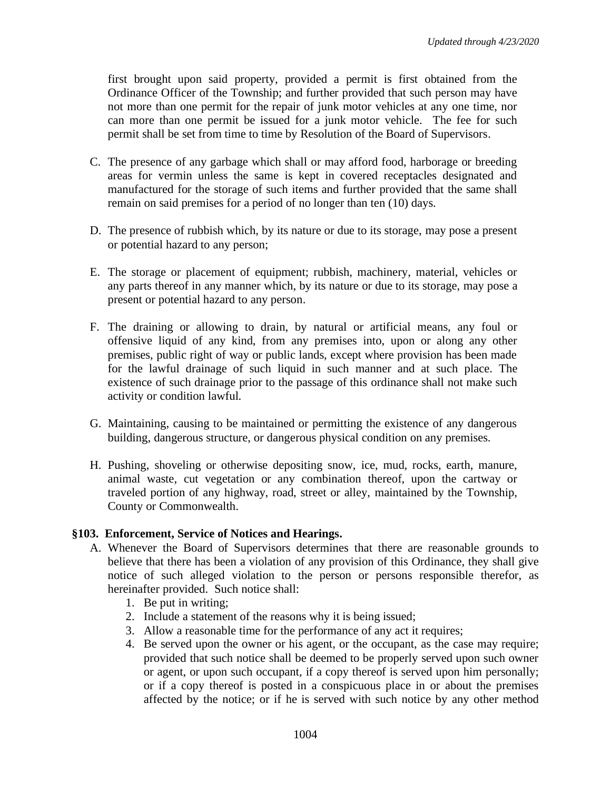first brought upon said property, provided a permit is first obtained from the Ordinance Officer of the Township; and further provided that such person may have not more than one permit for the repair of junk motor vehicles at any one time, nor can more than one permit be issued for a junk motor vehicle. The fee for such permit shall be set from time to time by Resolution of the Board of Supervisors.

- C. The presence of any garbage which shall or may afford food, harborage or breeding areas for vermin unless the same is kept in covered receptacles designated and manufactured for the storage of such items and further provided that the same shall remain on said premises for a period of no longer than ten (10) days.
- D. The presence of rubbish which, by its nature or due to its storage, may pose a present or potential hazard to any person;
- E. The storage or placement of equipment; rubbish, machinery, material, vehicles or any parts thereof in any manner which, by its nature or due to its storage, may pose a present or potential hazard to any person.
- F. The draining or allowing to drain, by natural or artificial means, any foul or offensive liquid of any kind, from any premises into, upon or along any other premises, public right of way or public lands, except where provision has been made for the lawful drainage of such liquid in such manner and at such place. The existence of such drainage prior to the passage of this ordinance shall not make such activity or condition lawful.
- G. Maintaining, causing to be maintained or permitting the existence of any dangerous building, dangerous structure, or dangerous physical condition on any premises.
- H. Pushing, shoveling or otherwise depositing snow, ice, mud, rocks, earth, manure, animal waste, cut vegetation or any combination thereof, upon the cartway or traveled portion of any highway, road, street or alley, maintained by the Township, County or Commonwealth.

### **§103. Enforcement, Service of Notices and Hearings.**

- A. Whenever the Board of Supervisors determines that there are reasonable grounds to believe that there has been a violation of any provision of this Ordinance, they shall give notice of such alleged violation to the person or persons responsible therefor, as hereinafter provided. Such notice shall:
	- 1. Be put in writing;
	- 2. Include a statement of the reasons why it is being issued;
	- 3. Allow a reasonable time for the performance of any act it requires;
	- 4. Be served upon the owner or his agent, or the occupant, as the case may require; provided that such notice shall be deemed to be properly served upon such owner or agent, or upon such occupant, if a copy thereof is served upon him personally; or if a copy thereof is posted in a conspicuous place in or about the premises affected by the notice; or if he is served with such notice by any other method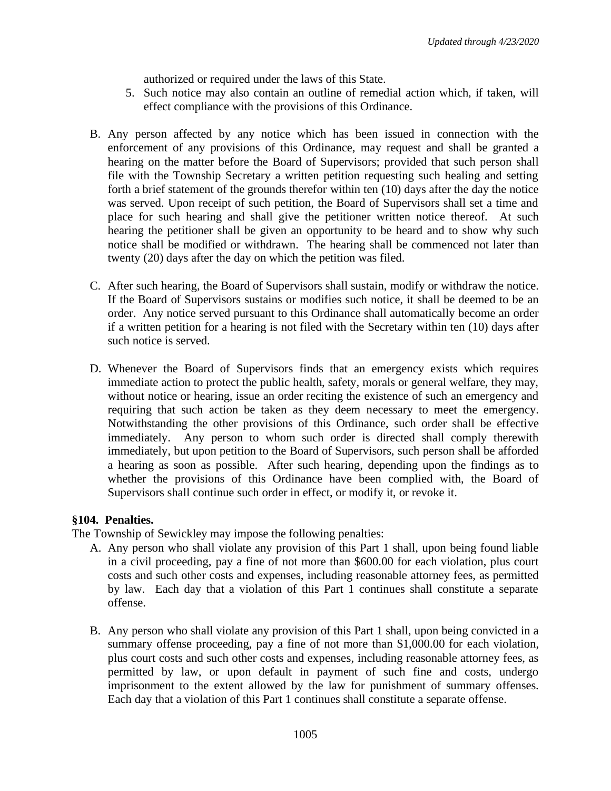authorized or required under the laws of this State.

- 5. Such notice may also contain an outline of remedial action which, if taken, will effect compliance with the provisions of this Ordinance.
- B. Any person affected by any notice which has been issued in connection with the enforcement of any provisions of this Ordinance, may request and shall be granted a hearing on the matter before the Board of Supervisors; provided that such person shall file with the Township Secretary a written petition requesting such healing and setting forth a brief statement of the grounds therefor within ten (10) days after the day the notice was served. Upon receipt of such petition, the Board of Supervisors shall set a time and place for such hearing and shall give the petitioner written notice thereof. At such hearing the petitioner shall be given an opportunity to be heard and to show why such notice shall be modified or withdrawn. The hearing shall be commenced not later than twenty (20) days after the day on which the petition was filed.
- C. After such hearing, the Board of Supervisors shall sustain, modify or withdraw the notice. If the Board of Supervisors sustains or modifies such notice, it shall be deemed to be an order. Any notice served pursuant to this Ordinance shall automatically become an order if a written petition for a hearing is not filed with the Secretary within ten (10) days after such notice is served.
- D. Whenever the Board of Supervisors finds that an emergency exists which requires immediate action to protect the public health, safety, morals or general welfare, they may, without notice or hearing, issue an order reciting the existence of such an emergency and requiring that such action be taken as they deem necessary to meet the emergency. Notwithstanding the other provisions of this Ordinance, such order shall be effective immediately. Any person to whom such order is directed shall comply therewith immediately, but upon petition to the Board of Supervisors, such person shall be afforded a hearing as soon as possible. After such hearing, depending upon the findings as to whether the provisions of this Ordinance have been complied with, the Board of Supervisors shall continue such order in effect, or modify it, or revoke it.

# **§104. Penalties.**

The Township of Sewickley may impose the following penalties:

- A. Any person who shall violate any provision of this Part 1 shall, upon being found liable in a civil proceeding, pay a fine of not more than \$600.00 for each violation, plus court costs and such other costs and expenses, including reasonable attorney fees, as permitted by law. Each day that a violation of this Part 1 continues shall constitute a separate offense.
- B. Any person who shall violate any provision of this Part 1 shall, upon being convicted in a summary offense proceeding, pay a fine of not more than \$1,000.00 for each violation, plus court costs and such other costs and expenses, including reasonable attorney fees, as permitted by law, or upon default in payment of such fine and costs, undergo imprisonment to the extent allowed by the law for punishment of summary offenses. Each day that a violation of this Part 1 continues shall constitute a separate offense.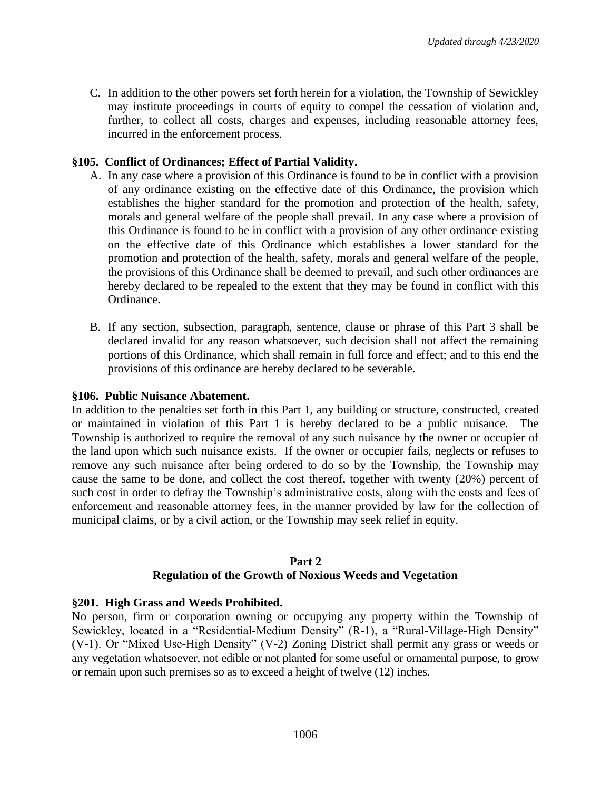C. In addition to the other powers set forth herein for a violation, the Township of Sewickley may institute proceedings in courts of equity to compel the cessation of violation and, further, to collect all costs, charges and expenses, including reasonable attorney fees, incurred in the enforcement process.

## **§105. Conflict of Ordinances; Effect of Partial Validity.**

- A. In any case where a provision of this Ordinance is found to be in conflict with a provision of any ordinance existing on the effective date of this Ordinance, the provision which establishes the higher standard for the promotion and protection of the health, safety, morals and general welfare of the people shall prevail. In any case where a provision of this Ordinance is found to be in conflict with a provision of any other ordinance existing on the effective date of this Ordinance which establishes a lower standard for the promotion and protection of the health, safety, morals and general welfare of the people, the provisions of this Ordinance shall be deemed to prevail, and such other ordinances are hereby declared to be repealed to the extent that they may be found in conflict with this Ordinance.
- B. If any section, subsection, paragraph, sentence, clause or phrase of this Part 3 shall be declared invalid for any reason whatsoever, such decision shall not affect the remaining portions of this Ordinance, which shall remain in full force and effect; and to this end the provisions of this ordinance are hereby declared to be severable.

#### **§106. Public Nuisance Abatement.**

In addition to the penalties set forth in this Part 1, any building or structure, constructed, created or maintained in violation of this Part 1 is hereby declared to be a public nuisance. The Township is authorized to require the removal of any such nuisance by the owner or occupier of the land upon which such nuisance exists. If the owner or occupier fails, neglects or refuses to remove any such nuisance after being ordered to do so by the Township, the Township may cause the same to be done, and collect the cost thereof, together with twenty (20%) percent of such cost in order to defray the Township's administrative costs, along with the costs and fees of enforcement and reasonable attorney fees, in the manner provided by law for the collection of municipal claims, or by a civil action, or the Township may seek relief in equity.

#### **Part 2**

### **Regulation of the Growth of Noxious Weeds and Vegetation**

### **§201. High Grass and Weeds Prohibited.**

No person, firm or corporation owning or occupying any property within the Township of Sewickley, located in a "Residential-Medium Density" (R-1), a "Rural-Village-High Density" (V-1). Or "Mixed Use-High Density" (V-2) Zoning District shall permit any grass or weeds or any vegetation whatsoever, not edible or not planted for some useful or ornamental purpose, to grow or remain upon such premises so as to exceed a height of twelve (12) inches.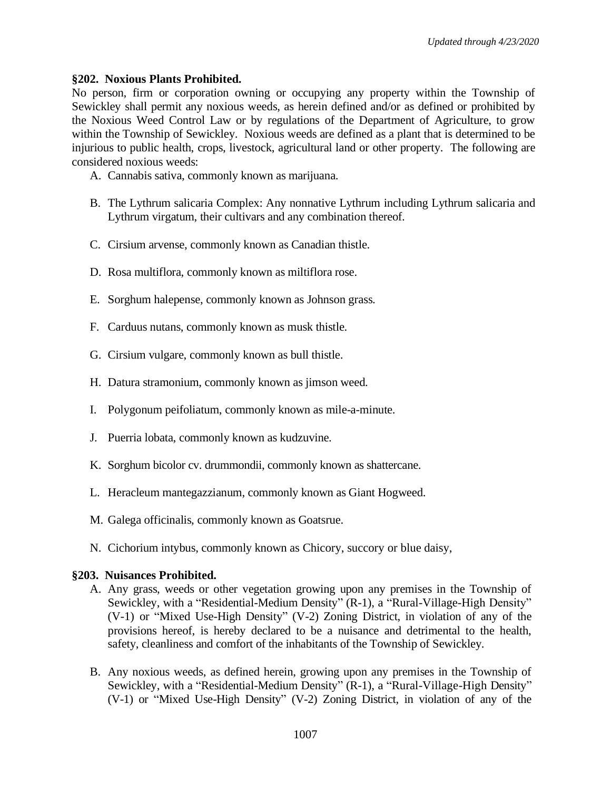## **§202. Noxious Plants Prohibited.**

No person, firm or corporation owning or occupying any property within the Township of Sewickley shall permit any noxious weeds, as herein defined and/or as defined or prohibited by the Noxious Weed Control Law or by regulations of the Department of Agriculture, to grow within the Township of Sewickley. Noxious weeds are defined as a plant that is determined to be injurious to public health, crops, livestock, agricultural land or other property. The following are considered noxious weeds:

- A. Cannabis sativa, commonly known as marijuana.
- B. The Lythrum salicaria Complex: Any nonnative Lythrum including Lythrum salicaria and Lythrum virgatum, their cultivars and any combination thereof.
- C. Cirsium arvense, commonly known as Canadian thistle.
- D. Rosa multiflora, commonly known as miltiflora rose.
- E. Sorghum halepense, commonly known as Johnson grass.
- F. Carduus nutans, commonly known as musk thistle.
- G. Cirsium vulgare, commonly known as bull thistle.
- H. Datura stramonium, commonly known as jimson weed.
- I. Polygonum peifoliatum, commonly known as mile-a-minute.
- J. Puerria lobata, commonly known as kudzuvine.
- K. Sorghum bicolor cv. drummondii, commonly known as shattercane.
- L. Heracleum mantegazzianum, commonly known as Giant Hogweed.
- M. Galega officinalis, commonly known as Goatsrue.
- N. Cichorium intybus, commonly known as Chicory, succory or blue daisy,

### **§203. Nuisances Prohibited.**

- A. Any grass, weeds or other vegetation growing upon any premises in the Township of Sewickley, with a "Residential-Medium Density" (R-1), a "Rural-Village-High Density" (V-1) or "Mixed Use-High Density" (V-2) Zoning District, in violation of any of the provisions hereof, is hereby declared to be a nuisance and detrimental to the health, safety, cleanliness and comfort of the inhabitants of the Township of Sewickley.
- B. Any noxious weeds, as defined herein, growing upon any premises in the Township of Sewickley, with a "Residential-Medium Density" (R-1), a "Rural-Village-High Density" (V-1) or "Mixed Use-High Density" (V-2) Zoning District, in violation of any of the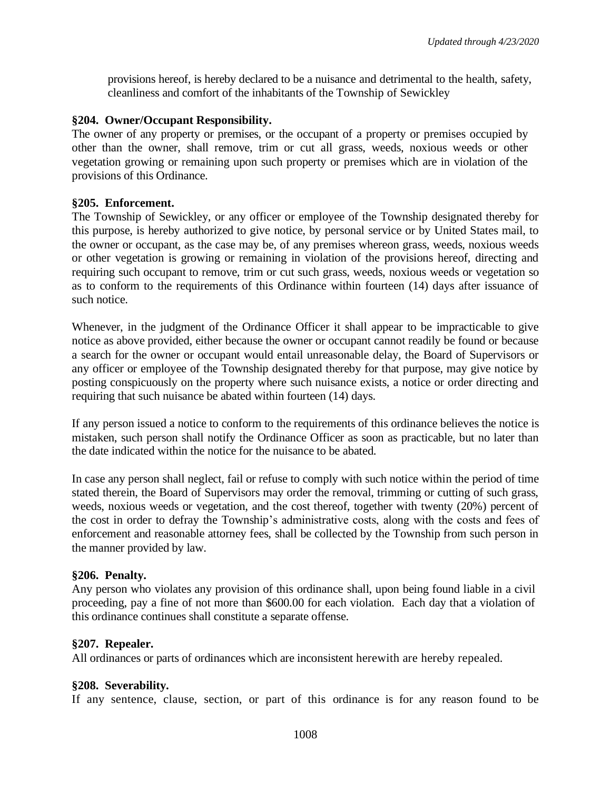provisions hereof, is hereby declared to be a nuisance and detrimental to the health, safety, cleanliness and comfort of the inhabitants of the Township of Sewickley

#### **§204. Owner/Occupant Responsibility.**

The owner of any property or premises, or the occupant of a property or premises occupied by other than the owner, shall remove, trim or cut all grass, weeds, noxious weeds or other vegetation growing or remaining upon such property or premises which are in violation of the provisions of this Ordinance.

#### **§205. Enforcement.**

The Township of Sewickley, or any officer or employee of the Township designated thereby for this purpose, is hereby authorized to give notice, by personal service or by United States mail, to the owner or occupant, as the case may be, of any premises whereon grass, weeds, noxious weeds or other vegetation is growing or remaining in violation of the provisions hereof, directing and requiring such occupant to remove, trim or cut such grass, weeds, noxious weeds or vegetation so as to conform to the requirements of this Ordinance within fourteen (14) days after issuance of such notice.

Whenever, in the judgment of the Ordinance Officer it shall appear to be impracticable to give notice as above provided, either because the owner or occupant cannot readily be found or because a search for the owner or occupant would entail unreasonable delay, the Board of Supervisors or any officer or employee of the Township designated thereby for that purpose, may give notice by posting conspicuously on the property where such nuisance exists, a notice or order directing and requiring that such nuisance be abated within fourteen (14) days.

If any person issued a notice to conform to the requirements of this ordinance believes the notice is mistaken, such person shall notify the Ordinance Officer as soon as practicable, but no later than the date indicated within the notice for the nuisance to be abated.

In case any person shall neglect, fail or refuse to comply with such notice within the period of time stated therein, the Board of Supervisors may order the removal, trimming or cutting of such grass, weeds, noxious weeds or vegetation, and the cost thereof, together with twenty (20%) percent of the cost in order to defray the Township's administrative costs, along with the costs and fees of enforcement and reasonable attorney fees, shall be collected by the Township from such person in the manner provided by law.

### **§206. Penalty.**

Any person who violates any provision of this ordinance shall, upon being found liable in a civil proceeding, pay a fine of not more than \$600.00 for each violation. Each day that a violation of this ordinance continues shall constitute a separate offense.

### **§207. Repealer.**

All ordinances or parts of ordinances which are inconsistent herewith are hereby repealed.

#### **§208. Severability.**

If any sentence, clause, section, or part of this ordinance is for any reason found to be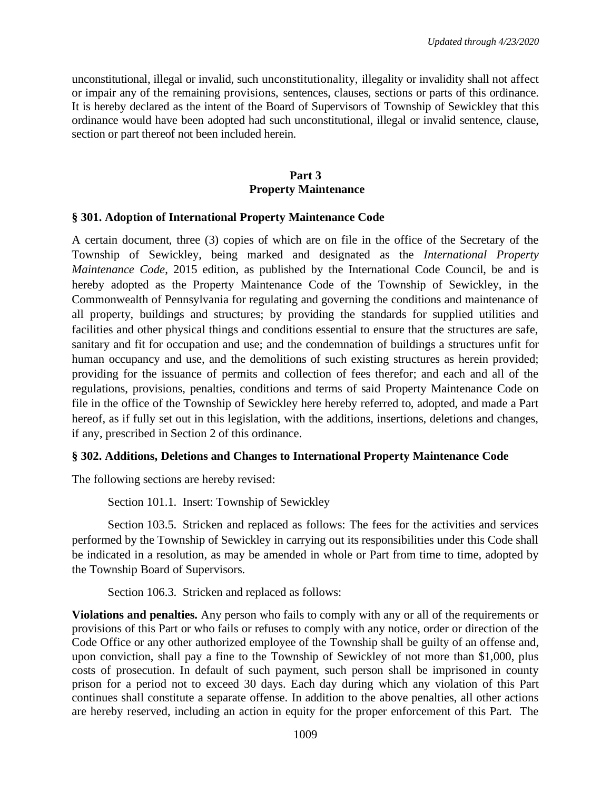unconstitutional, illegal or invalid, such unconstitutionality, illegality or invalidity shall not affect or impair any of the remaining provisions, sentences, clauses, sections or parts of this ordinance. It is hereby declared as the intent of the Board of Supervisors of Township of Sewickley that this ordinance would have been adopted had such unconstitutional, illegal or invalid sentence, clause, section or part thereof not been included herein.

## **Part 3 Property Maintenance**

## **§ 301. Adoption of International Property Maintenance Code**

A certain document, three (3) copies of which are on file in the office of the Secretary of the Township of Sewickley, being marked and designated as the *International Property Maintenance Code*, 2015 edition, as published by the International Code Council, be and is hereby adopted as the Property Maintenance Code of the Township of Sewickley, in the Commonwealth of Pennsylvania for regulating and governing the conditions and maintenance of all property, buildings and structures; by providing the standards for supplied utilities and facilities and other physical things and conditions essential to ensure that the structures are safe, sanitary and fit for occupation and use; and the condemnation of buildings a structures unfit for human occupancy and use, and the demolitions of such existing structures as herein provided; providing for the issuance of permits and collection of fees therefor; and each and all of the regulations, provisions, penalties, conditions and terms of said Property Maintenance Code on file in the office of the Township of Sewickley here hereby referred to, adopted, and made a Part hereof, as if fully set out in this legislation, with the additions, insertions, deletions and changes, if any, prescribed in Section 2 of this ordinance.

# **§ 302. Additions, Deletions and Changes to International Property Maintenance Code**

The following sections are hereby revised:

Section 101.1. Insert: Township of Sewickley

Section 103.5. Stricken and replaced as follows: The fees for the activities and services performed by the Township of Sewickley in carrying out its responsibilities under this Code shall be indicated in a resolution, as may be amended in whole or Part from time to time, adopted by the Township Board of Supervisors.

Section 106.3. Stricken and replaced as follows:

**Violations and penalties.** Any person who fails to comply with any or all of the requirements or provisions of this Part or who fails or refuses to comply with any notice, order or direction of the Code Office or any other authorized employee of the Township shall be guilty of an offense and, upon conviction, shall pay a fine to the Township of Sewickley of not more than \$1,000, plus costs of prosecution. In default of such payment, such person shall be imprisoned in county prison for a period not to exceed 30 days. Each day during which any violation of this Part continues shall constitute a separate offense. In addition to the above penalties, all other actions are hereby reserved, including an action in equity for the proper enforcement of this Part. The